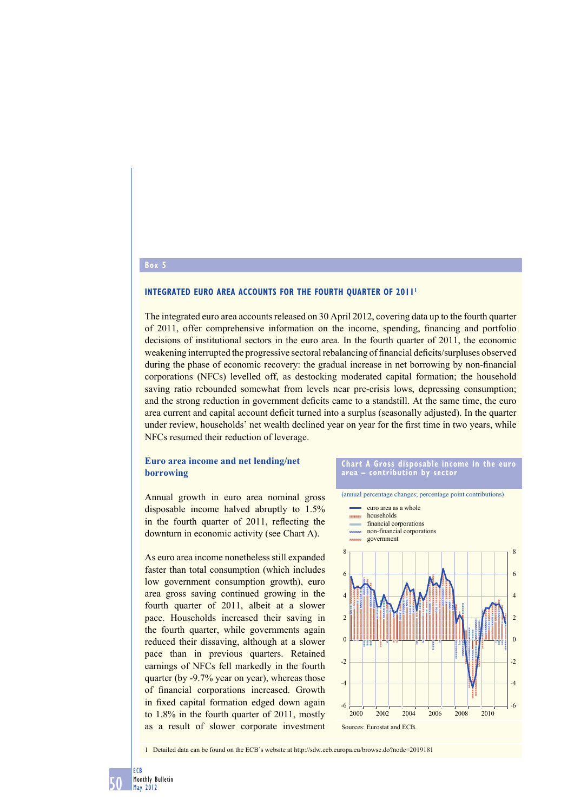## **Box 5**

#### **INTEGRATED EURO AREA ACCOUNTS FOR THE FOURTH OUARTER OF 2011**

The integrated euro area accounts released on 30 April 2012, covering data up to the fourth quarter of 2011, offer comprehensive information on the income, spending, financing and portfolio decisions of institutional sectors in the euro area. In the fourth quarter of 2011, the economic weakening interrupted the progressive sectoral rebalancing of financial deficits/surpluses observed during the phase of economic recovery: the gradual increase in net borrowing by non-financial corporations (NFCs) levelled off, as destocking moderated capital formation; the household saving ratio rebounded somewhat from levels near pre-crisis lows, depressing consumption; and the strong reduction in government deficits came to a standstill. At the same time, the euro area current and capital account deficit turned into a surplus (seasonally adjusted). In the quarter under review, households' net wealth declined year on year for the first time in two years, while NFCs resumed their reduction of leverage.

## **Euro area income and net lending/net borrowing**

Annual growth in euro area nominal gross disposable income halved abruptly to 1.5% in the fourth quarter of 2011, reflecting the downturn in economic activity (see Chart A).

As euro area income nonetheless still expanded faster than total consumption (which includes low government consumption growth), euro area gross saving continued growing in the fourth quarter of 2011, albeit at a slower pace. Households increased their saving in the fourth quarter, while governments again reduced their dissaving, although at a slower pace than in previous quarters. Retained earnings of NFCs fell markedly in the fourth quarter (by -9.7% year on year), whereas those of financial corporations increased. Growth in fixed capital formation edged down again to 1.8% in the fourth quarter of 2011, mostly as a result of slower corporate investment

#### **Chart A Gross disposable income in the euro area – contribution by sector**



1 Detailed data can be found on the ECB's website at http://sdw.ecb.europa.eu/browse.do?node=2019181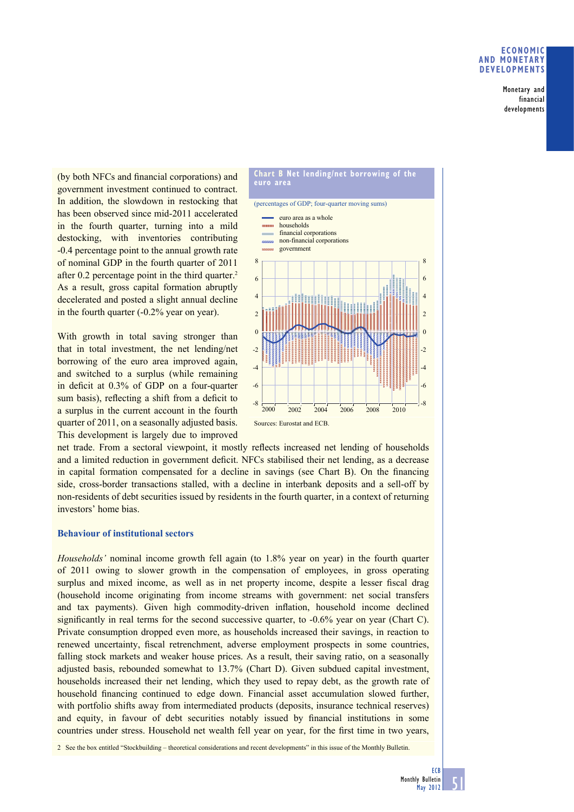## **ECONOMIC AND MONETARY DEVELOPMENTS**

Monetary and financial developments

(by both NFCs and financial corporations) and government investment continued to contract. In addition, the slowdown in restocking that has been observed since mid-2011 accelerated in the fourth quarter, turning into a mild destocking, with inventories contributing -0.4 percentage point to the annual growth rate of nominal GDP in the fourth quarter of 2011 after 0.2 percentage point in the third quarter.<sup>2</sup> As a result, gross capital formation abruptly decelerated and posted a slight annual decline in the fourth quarter (-0.2% year on year).

With growth in total saving stronger than that in total investment, the net lending/net borrowing of the euro area improved again, and switched to a surplus (while remaining in deficit at  $0.3\%$  of GDP on a four-quarter sum basis), reflecting a shift from a deficit to a surplus in the current account in the fourth quarter of 2011, on a seasonally adjusted basis. This development is largely due to improved



net trade. From a sectoral viewpoint, it mostly reflects increased net lending of households and a limited reduction in government deficit. NFCs stabilised their net lending, as a decrease in capital formation compensated for a decline in savings (see Chart B). On the financing side, cross-border transactions stalled, with a decline in interbank deposits and a sell-off by non-residents of debt securities issued by residents in the fourth quarter, in a context of returning investors' home bias.

## **Behaviour of institutional sectors**

*Households'* nominal income growth fell again (to 1.8% year on year) in the fourth quarter of 2011 owing to slower growth in the compensation of employees, in gross operating surplus and mixed income, as well as in net property income, despite a lesser fiscal drag (household income originating from income streams with government: net social transfers and tax payments). Given high commodity-driven inflation, household income declined significantly in real terms for the second successive quarter, to  $-0.6\%$  year on year (Chart C). Private consumption dropped even more, as households increased their savings, in reaction to renewed uncertainty, fiscal retrenchment, adverse employment prospects in some countries, falling stock markets and weaker house prices. As a result, their saving ratio, on a seasonally adjusted basis, rebounded somewhat to 13.7% (Chart D). Given subdued capital investment, households increased their net lending, which they used to repay debt, as the growth rate of household financing continued to edge down. Financial asset accumulation slowed further, with portfolio shifts away from intermediated products (deposits, insurance technical reserves) and equity, in favour of debt securities notably issued by financial institutions in some countries under stress. Household net wealth fell year on year, for the first time in two years,

2 See the box entitled "Stockbuilding – theoretical considerations and recent developments" in this issue of the Monthly Bulletin.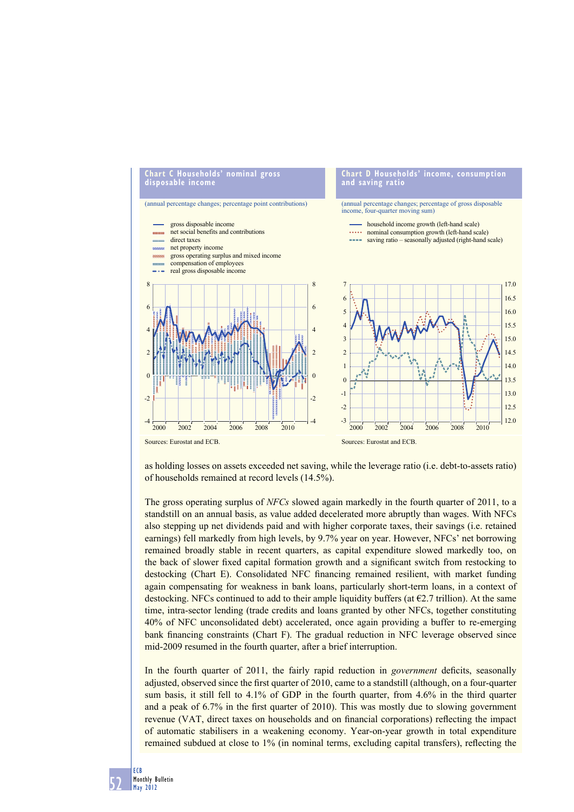

as holding losses on assets exceeded net saving, while the leverage ratio (i.e. debt-to-assets ratio) of households remained at record levels (14.5%).

The gross operating surplus of *NFCs* slowed again markedly in the fourth quarter of 2011, to a standstill on an annual basis, as value added decelerated more abruptly than wages. With NFCs also stepping up net dividends paid and with higher corporate taxes, their savings (i.e. retained earnings) fell markedly from high levels, by 9.7% year on year. However, NFCs' net borrowing remained broadly stable in recent quarters, as capital expenditure slowed markedly too, on the back of slower fixed capital formation growth and a significant switch from restocking to destocking (Chart E). Consolidated NFC financing remained resilient, with market funding again compensating for weakness in bank loans, particularly short-term loans, in a context of destocking. NFCs continued to add to their ample liquidity buffers (at  $\epsilon$ 2.7 trillion). At the same time, intra-sector lending (trade credits and loans granted by other NFCs, together constituting 40% of NFC unconsolidated debt) accelerated, once again providing a buffer to re-emerging bank financing constraints (Chart F). The gradual reduction in NFC leverage observed since mid-2009 resumed in the fourth quarter, after a brief interruption.

In the fourth quarter of 2011, the fairly rapid reduction in *government* deficits, seasonally adjusted, observed since the first quarter of 2010, came to a standstill (although, on a four-quarter sum basis, it still fell to  $4.1\%$  of GDP in the fourth quarter, from  $4.6\%$  in the third quarter and a peak of  $6.7\%$  in the first quarter of 2010). This was mostly due to slowing government revenue (VAT, direct taxes on households and on financial corporations) reflecting the impact of automatic stabilisers in a weakening economy. Year-on-year growth in total expenditure remained subdued at close to 1% (in nominal terms, excluding capital transfers), reflecting the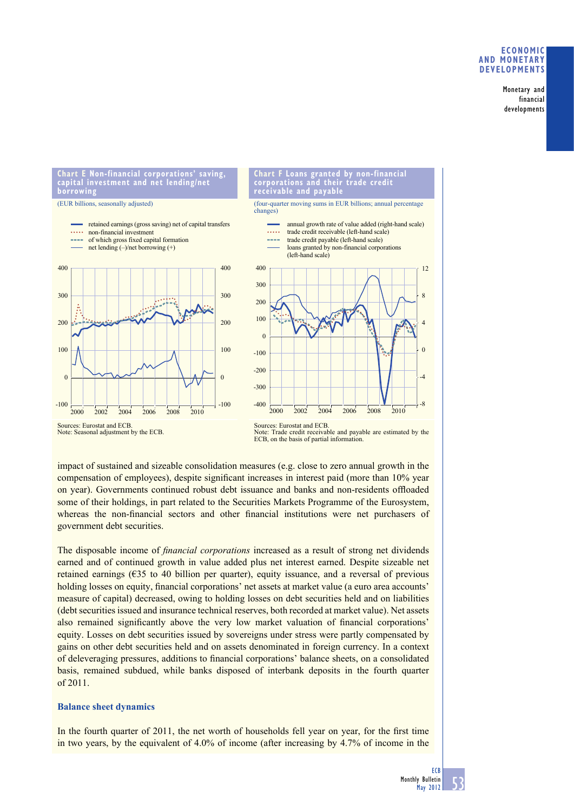## **ECONOMIC AND MONETARY DEVELOPMENTS**

Monetary and financial developments

**Chart E Non-financial corporations' saving, capital investment and net lending/net borrowing**

(EUR billions, seasonally adjusted)





(four-quarter moving sums in EUR billions; annual percentage changes)

annual growth rate of value added (right-hand scale)



Sources: Eurostat and ECB. Note: Seasonal adjustment by the ECB. Sources: Eurostat and ECB. Note: Trade credit receivable and payable are estimated by the ECB, on the basis of partial information.

impact of sustained and sizeable consolidation measures (e.g. close to zero annual growth in the compensation of employees), despite significant increases in interest paid (more than 10% year on year). Governments continued robust debt issuance and banks and non-residents offloaded some of their holdings, in part related to the Securities Markets Programme of the Eurosystem, whereas the non-financial sectors and other financial institutions were net purchasers of government debt securities.

The disposable income of *financial corporations* increased as a result of strong net dividends earned and of continued growth in value added plus net interest earned. Despite sizeable net retained earnings (€35 to 40 billion per quarter), equity issuance, and a reversal of previous holding losses on equity, financial corporations' net assets at market value (a euro area accounts' measure of capital) decreased, owing to holding losses on debt securities held and on liabilities (debt securities issued and insurance technical reserves, both recorded at market value). Net assets also remained significantly above the very low market valuation of financial corporations' equity. Losses on debt securities issued by sovereigns under stress were partly compensated by gains on other debt securities held and on assets denominated in foreign currency. In a context of deleveraging pressures, additions to financial corporations' balance sheets, on a consolidated basis, remained subdued, while banks disposed of interbank deposits in the fourth quarter of 2011.

# **Balance sheet dynamics**

In the fourth quarter of  $2011$ , the net worth of households fell year on year, for the first time in two years, by the equivalent of 4.0% of income (after increasing by 4.7% of income in the